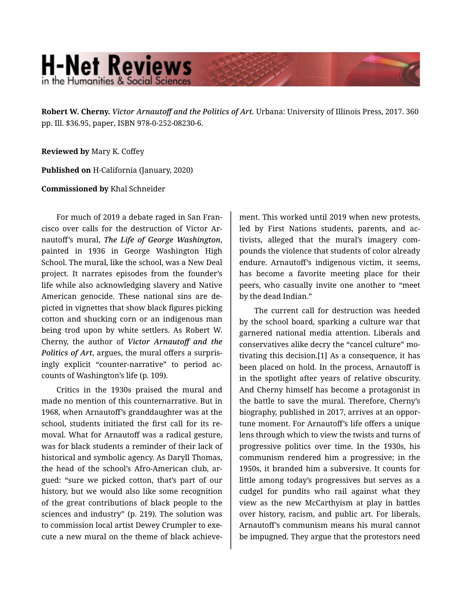## **H-Net Reviews** in the Humanities & Social Scienc

**Robert W. Cherny.** *Victor Arnautoff and the Politics of Art.* Urbana: University of Illinois Press, 2017. 360 pp. Ill. \$36.95, paper, ISBN 978-0-252-08230-6.

**Reviewed by** Mary K. Coffey

**Published on** H-California (January, 2020)

**Commissioned by** Khal Schneider

For much of 2019 a debate raged in San Fran‐ cisco over calls for the destruction of Victor Ar‐ nautoff's mural, *The Life of George Washington*, painted in 1936 in George Washington High School. The mural, like the school, was a New Deal project. It narrates episodes from the founder's life while also acknowledging slavery and Native American genocide. These national sins are de‐ picted in vignettes that show black figures picking cotton and shucking corn or an indigenous man being trod upon by white settlers. As Robert W. Cherny, the author of *Victor Arnautoff and the Politics of Art*, argues, the mural offers a surpris‐ ingly explicit "counter-narrative" to period ac‐ counts of Washington's life (p. 109).

Critics in the 1930s praised the mural and made no mention of this counternarrative. But in 1968, when Arnautoff's granddaughter was at the school, students initiated the first call for its re‐ moval. What for Arnautoff was a radical gesture, was for black students a reminder of their lack of historical and symbolic agency. As Daryll Thomas, the head of the school's Afro-American club, ar‐ gued: "sure we picked cotton, that's part of our history, but we would also like some recognition of the great contributions of black people to the sciences and industry" (p. 219). The solution was to commission local artist Dewey Crumpler to exe‐ cute a new mural on the theme of black achieve-

ment. This worked until 2019 when new protests, led by First Nations students, parents, and ac‐ tivists, alleged that the mural's imagery com‐ pounds the violence that students of color already endure. Arnautoff's indigenous victim, it seems, has become a favorite meeting place for their peers, who casually invite one another to "meet by the dead Indian."

The current call for destruction was heeded by the school board, sparking a culture war that garnered national media attention. Liberals and conservatives alike decry the "cancel culture" mo‐ tivating this decision.[1] As a consequence, it has been placed on hold. In the process, Arnautoff is in the spotlight after years of relative obscurity. And Cherny himself has become a protagonist in the battle to save the mural. Therefore, Cherny's biography, published in 2017, arrives at an oppor‐ tune moment. For Arnautoff's life offers a unique lens through which to view the twists and turns of progressive politics over time. In the 1930s, his communism rendered him a progressive; in the 1950s, it branded him a subversive. It counts for little among today's progressives but serves as a cudgel for pundits who rail against what they view as the new McCarthyism at play in battles over history, racism, and public art. For liberals, Arnautoff's communism means his mural cannot be impugned. They argue that the protestors need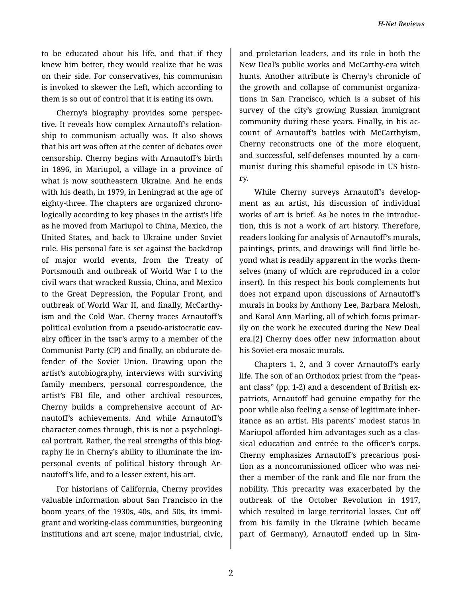to be educated about his life, and that if they knew him better, they would realize that he was on their side. For conservatives, his communism is invoked to skewer the Left, which according to them is so out of control that it is eating its own.

Cherny's biography provides some perspec‐ tive. It reveals how complex Arnautoff's relation‐ ship to communism actually was. It also shows that his art was often at the center of debates over censorship. Cherny begins with Arnautoff's birth in 1896, in Mariupol, a village in a province of what is now southeastern Ukraine. And he ends with his death, in 1979, in Leningrad at the age of eighty-three. The chapters are organized chrono‐ logically according to key phases in the artist's life as he moved from Mariupol to China, Mexico, the United States, and back to Ukraine under Soviet rule. His personal fate is set against the backdrop of major world events, from the Treaty of Portsmouth and outbreak of World War I to the civil wars that wracked Russia, China, and Mexico to the Great Depression, the Popular Front, and outbreak of World War II, and finally, McCarthy‐ ism and the Cold War. Cherny traces Arnautoff's political evolution from a pseudo-aristocratic cav‐ alry officer in the tsar's army to a member of the Communist Party (CP) and finally, an obdurate de‐ fender of the Soviet Union. Drawing upon the artist's autobiography, interviews with surviving family members, personal correspondence, the artist's FBI file, and other archival resources, Cherny builds a comprehensive account of Ar‐ nautoff's achievements. And while Arnautoff's character comes through, this is not a psychologi‐ cal portrait. Rather, the real strengths of this biog‐ raphy lie in Cherny's ability to illuminate the im‐ personal events of political history through Ar‐ nautoff's life, and to a lesser extent, his art.

For historians of California, Cherny provides valuable information about San Francisco in the boom years of the 1930s, 40s, and 50s, its immi‐ grant and working-class communities, burgeoning institutions and art scene, major industrial, civic,

and proletarian leaders, and its role in both the New Deal's public works and McCarthy-era witch hunts. Another attribute is Cherny's chronicle of the growth and collapse of communist organiza‐ tions in San Francisco, which is a subset of his survey of the city's growing Russian immigrant community during these years. Finally, in his ac‐ count of Arnautoff's battles with McCarthyism, Cherny reconstructs one of the more eloquent, and successful, self-defenses mounted by a com‐ munist during this shameful episode in US histo‐ ry.

While Cherny surveys Arnautoff's develop‐ ment as an artist, his discussion of individual works of art is brief. As he notes in the introduc‐ tion, this is not a work of art history. Therefore, readers looking for analysis of Arnautoff's murals, paintings, prints, and drawings will find little be‐ yond what is readily apparent in the works them‐ selves (many of which are reproduced in a color insert). In this respect his book complements but does not expand upon discussions of Arnautoff's murals in books by Anthony Lee, Barbara Melosh, and Karal Ann Marling, all of which focus primar‐ ily on the work he executed during the New Deal era.[2] Cherny does offer new information about his Soviet-era mosaic murals.

Chapters 1, 2, and 3 cover Arnautoff's early life. The son of an Orthodox priest from the "peas‐ ant class" (pp. 1-2) and a descendent of British expatriots, Arnautoff had genuine empathy for the poor while also feeling a sense of legitimate inher‐ itance as an artist. His parents' modest status in Mariupol afforded him advantages such as a clas‐ sical education and entrée to the officer's corps. Cherny emphasizes Arnautoff's precarious posi‐ tion as a noncommissioned officer who was nei‐ ther a member of the rank and file nor from the nobility. This precarity was exacerbated by the outbreak of the October Revolution in 1917, which resulted in large territorial losses. Cut off from his family in the Ukraine (which became part of Germany), Arnautoff ended up in Sim‐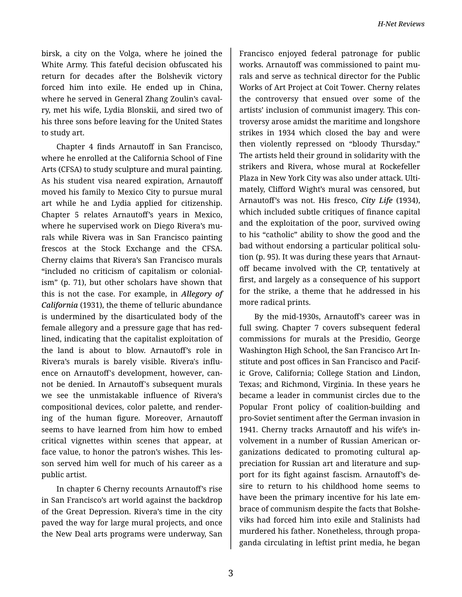birsk, a city on the Volga, where he joined the White Army. This fateful decision obfuscated his return for decades after the Bolshevik victory forced him into exile. He ended up in China, where he served in General Zhang Zoulin's cavalry, met his wife, Lydia Blonskii, and sired two of his three sons before leaving for the United States to study art.

Chapter 4 finds Arnautoff in San Francisco, where he enrolled at the California School of Fine Arts (CFSA) to study sculpture and mural painting. As his student visa neared expiration, Arnautoff moved his family to Mexico City to pursue mural art while he and Lydia applied for citizenship. Chapter 5 relates Arnautoff's years in Mexico, where he supervised work on Diego Rivera's mu‐ rals while Rivera was in San Francisco painting frescos at the Stock Exchange and the CFSA. Cherny claims that Rivera's San Francisco murals "included no criticism of capitalism or colonial‐ ism" (p. 71), but other scholars have shown that this is not the case. For example, in *Allegory of California* (1931), the theme of telluric abundance is undermined by the disarticulated body of the female allegory and a pressure gage that has red‐ lined, indicating that the capitalist exploitation of the land is about to blow. Arnautoff's role in Rivera's murals is barely visible. Rivera's influ‐ ence on Arnautoff's development, however, can‐ not be denied. In Arnautoff's subsequent murals we see the unmistakable influence of Rivera's compositional devices, color palette, and render‐ ing of the human figure. Moreover, Arnautoff seems to have learned from him how to embed critical vignettes within scenes that appear, at face value, to honor the patron's wishes. This les‐ son served him well for much of his career as a public artist.

In chapter 6 Cherny recounts Arnautoff's rise in San Francisco's art world against the backdrop of the Great Depression. Rivera's time in the city paved the way for large mural projects, and once the New Deal arts programs were underway, San

Francisco enjoyed federal patronage for public works. Arnautoff was commissioned to paint mu‐ rals and serve as technical director for the Public Works of Art Project at Coit Tower. Cherny relates the controversy that ensued over some of the artists' inclusion of communist imagery. This con‐ troversy arose amidst the maritime and longshore strikes in 1934 which closed the bay and were then violently repressed on "bloody Thursday." The artists held their ground in solidarity with the strikers and Rivera, whose mural at Rockefeller Plaza in New York City was also under attack. Ulti‐ mately, Clifford Wight's mural was censored, but Arnautoff's was not. His fresco, *City Life* (1934), which included subtle critiques of finance capital and the exploitation of the poor, survived owing to his "catholic" ability to show the good and the bad without endorsing a particular political solu‐ tion (p. 95). It was during these years that Arnaut‐ off became involved with the CP, tentatively at first, and largely as a consequence of his support for the strike, a theme that he addressed in his more radical prints.

By the mid-1930s, Arnautoff's career was in full swing. Chapter 7 covers subsequent federal commissions for murals at the Presidio, George Washington High School, the San Francisco Art In‐ stitute and post offices in San Francisco and Pacif‐ ic Grove, California; College Station and Lindon, Texas; and Richmond, Virginia. In these years he became a leader in communist circles due to the Popular Front policy of coalition-building and pro-Soviet sentiment after the German invasion in 1941. Cherny tracks Arnautoff and his wife's in‐ volvement in a number of Russian American or‐ ganizations dedicated to promoting cultural ap‐ preciation for Russian art and literature and sup‐ port for its fight against fascism. Arnautoff's de‐ sire to return to his childhood home seems to have been the primary incentive for his late em‐ brace of communism despite the facts that Bolshe‐ viks had forced him into exile and Stalinists had murdered his father. Nonetheless, through propa‐ ganda circulating in leftist print media, he began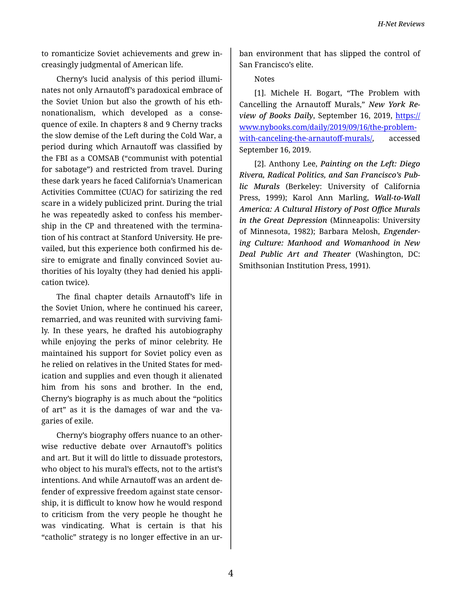to romanticize Soviet achievements and grew in‐ creasingly judgmental of American life.

Cherny's lucid analysis of this period illumi‐ nates not only Arnautoff's paradoxical embrace of the Soviet Union but also the growth of his eth‐ nonationalism, which developed as a conse‐ quence of exile. In chapters 8 and 9 Cherny tracks the slow demise of the Left during the Cold War, a period during which Arnautoff was classified by the FBI as a COMSAB ("communist with potential for sabotage") and restricted from travel. During these dark years he faced California's Unamerican Activities Committee (CUAC) for satirizing the red scare in a widely publicized print. During the trial he was repeatedly asked to confess his member‐ ship in the CP and threatened with the termina‐ tion of his contract at Stanford University. He pre‐ vailed, but this experience both confirmed his de‐ sire to emigrate and finally convinced Soviet au‐ thorities of his loyalty (they had denied his appli‐ cation twice).

The final chapter details Arnautoff's life in the Soviet Union, where he continued his career, remarried, and was reunited with surviving fami‐ ly. In these years, he drafted his autobiography while enjoying the perks of minor celebrity. He maintained his support for Soviet policy even as he relied on relatives in the United States for med‐ ication and supplies and even though it alienated him from his sons and brother. In the end, Cherny's biography is as much about the "politics of art" as it is the damages of war and the va‐ garies of exile.

Cherny's biography offers nuance to an other‐ wise reductive debate over Arnautoff's politics and art. But it will do little to dissuade protestors, who object to his mural's effects, not to the artist's intentions. And while Arnautoff was an ardent de‐ fender of expressive freedom against state censor‐ ship, it is difficult to know how he would respond to criticism from the very people he thought he was vindicating. What is certain is that his "catholic" strategy is no longer effective in an ur‐

ban environment that has slipped the control of San Francisco's elite.

Notes

[1]. Michele H. Bogart, "The Problem with Cancelling the Arnautoff Murals," *New York Re‐* view of Books Daily, September 16, 2019, [https://](https://www.nybooks.com/daily/2019/09/16/the-problem-with-canceling-the-arnautoff-murals/) [www.nybooks.com/daily/2019/09/16/the-problem](https://www.nybooks.com/daily/2019/09/16/the-problem-with-canceling-the-arnautoff-murals/)[with-canceling-the-arnauto](https://www.nybooks.com/daily/2019/09/16/the-problem-with-canceling-the-arnautoff-murals/)ff-murals/, accessed September 16, 2019.

[2]. Anthony Lee, *Painting on the Left: Diego Rivera, Radical Politics, and San Francisco's Pub‐ lic Murals* (Berkeley: University of California Press, 1999); Karol Ann Marling, *Wall-to-Wall America: A Cultural History of Post Office Murals in the Great Depression* (Minneapolis: University of Minnesota, 1982); Barbara Melosh, *Engender‐ ing Culture: Manhood and Womanhood in New Deal Public Art and Theater* (Washington, DC: Smithsonian Institution Press, 1991).